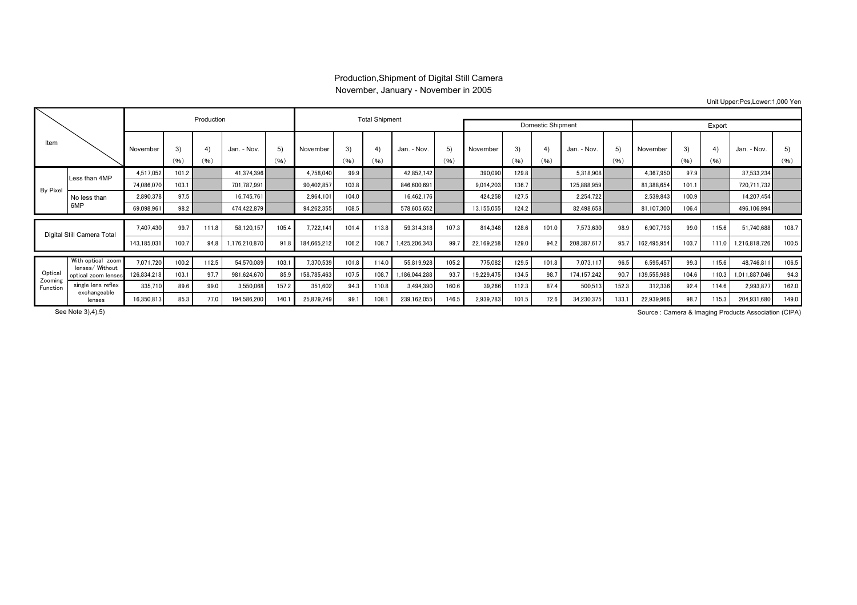## Production,Shipment of Digital Still Camera November, January - November in 2005

Unit Upper:Pcs,Lower:1,000 Yen

|                                |                                      |             |            | Production |                |            | <b>Total Shipment</b> |            |                          |                   |            |            |            |            |             |            |             |            |            |               |            |
|--------------------------------|--------------------------------------|-------------|------------|------------|----------------|------------|-----------------------|------------|--------------------------|-------------------|------------|------------|------------|------------|-------------|------------|-------------|------------|------------|---------------|------------|
|                                |                                      |             |            |            |                |            |                       |            |                          | Domestic Shipment |            |            | Export     |            |             |            |             |            |            |               |            |
| Item                           |                                      | November    | 3)<br>(96) | 4)<br>(96) | - Nov.<br>Jan. | 5)<br>(96) | November              | 3)<br>(96) | $\left(4\right)$<br>(96) | Jan. - Nov.       | 5)<br>(96) | November   | 3)<br>(96) | 4)<br>(96) | Jan. - Nov. | 5)<br>(96) | November    | 3'<br>(96) | 4)<br>(96) | Jan. - Nov.   | 5)<br>(96) |
|                                | Less than 4MP                        | 4.517.052   | 101.2      |            | 41.374.396     |            | 4,758,040             | 99.9       |                          | 42.852.142        |            | 390,090    | 129.8      |            | 5,318,908   |            | 4.367.950   | 97.9       |            | 37,533,234    |            |
| By Pixel                       |                                      | 74.086.070  | 103.1      |            | 701.787.991    |            | 90,402,857            | 103.8      |                          | 846,600.691       |            | 9.014.203  | 136.7      |            | 125.888.959 |            | 81,388,654  | 101.1      |            | 720.711.732   |            |
|                                | No less than<br>6MP                  | 2,890,378   | 97.5       |            | 16,745,761     |            | 2,964,101             | 104.0      |                          | 16,462,176        |            | 424.258    | 127.5      |            | 2,254,722   |            | 2,539,843   | 100.9      |            | 14,207,454    |            |
|                                |                                      | 69,098,961  | 98.2       |            | 474,422,879    |            | 94,262,355            | 108.5      |                          | 578.605.652       |            | 13,155,055 | 124.2      |            | 82,498,658  |            | 81,107,300  | 106.4      |            | 496,106,994   |            |
| Digital Still Camera Total     |                                      | 7.407.430   | 99.7       | 111.8      | 58,120,157     | 105.4      | 7,722,141             | 101.4      | 113.8                    | 59,314,318        | 107.3      | 814,348    | 128.6      | 101.0      | 7,573,630   | 98.9       | 6,907,793   | 99.0       | 115.6      | 51,740,688    | 108.7      |
|                                |                                      | 143,185,031 | 100.7      | 94.8       | 1,176,210,870  | 91.8       | 184,665,212           | 106.2      | 108.7                    | 1,425,206,343     | 99.7       | 22,169,258 | 129.0      | 94.2       | 208,387,617 | 95.7       | 162,495,954 | 103.7      | 111.0      | 1,216,818,726 | 100.5      |
| Optical<br>Zooming<br>Function | With optical zoom<br>lenses/ Without | 7.071.720   | 100.2      | 112.5      | 54.570.089     | 103.1      | 7,370,539             | 101.8      | 114.0                    | 55.819.928        | 105.2      | 775.082    | 129.5      | 101.8      | 7,073,117   | 96.5       | 6,595,457   | 99.3       | 115.6      | 48.746.811    | 106.5      |
|                                | optical zoom lenses                  | 126,834,218 | 103.1      | 97.7       | 981,624,670    | 85.9       | 158,785,463           | 107.5      | 108.7                    | 1,186,044,288     | 93.7       | 19,229,475 | 134.5      | 98.7       | 174,157,242 | 90.7       | 139,555,988 | 104.6      | 110.3      | 1,011,887,046 | 94.3       |
|                                | single lens reflex                   | 335.710     | 89.6       | 99.0       | 3,550,068      | 157.2      | 351,602               | 94.3       | 110.8                    | 3,494,390         | 160.6      | 39,266     | 112.3      | 87.4       | 500,513     | 152.3      | 312,336     | 92.4       | 114.6      | 2,993,877     | 162.0      |
|                                | exchangeable<br>lenses               | 16,350,813  | 85.3       | 77.0       | 194,586,200    | 140.1      | 25,879,749            | 99.        | 108.1                    | 239,162,055       | 146.5      | 2,939,783  | 101.5      | 72.6       | 34,230,375  | 133.       | 22,939,966  | 98.7       | 115.3      | 204,931,680   | 149.0      |

See Note 3),4),5) Source : Camera & Imaging Products Association (CIPA)